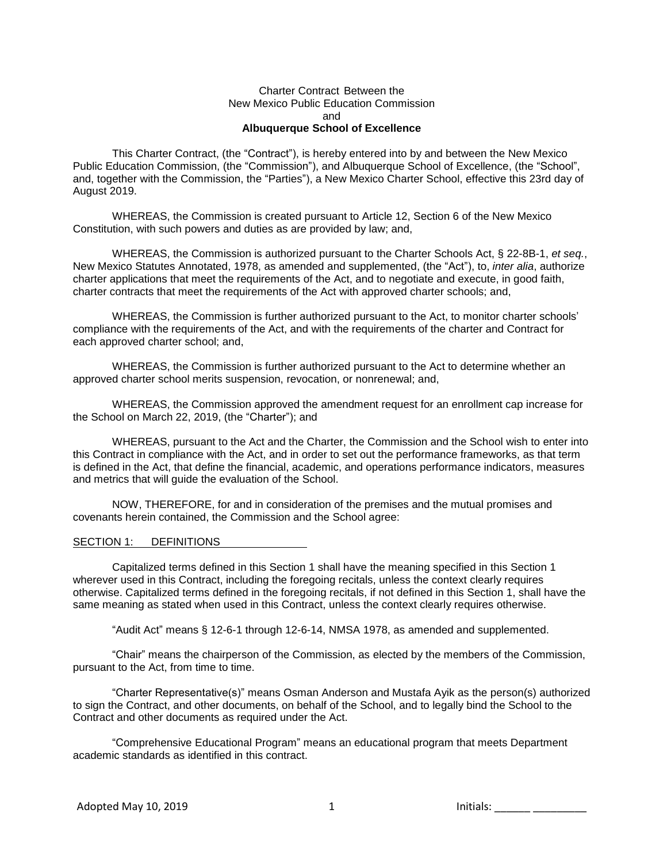### Charter Contract Between the New Mexico Public Education Commission and **Albuquerque School of Excellence**

This Charter Contract, (the "Contract"), is hereby entered into by and between the New Mexico Public Education Commission, (the "Commission"), and Albuquerque School of Excellence, (the "School", and, together with the Commission, the "Parties"), a New Mexico Charter School, effective this 23rd day of August 2019.

WHEREAS, the Commission is created pursuant to Article 12, Section 6 of the New Mexico Constitution, with such powers and duties as are provided by law; and,

WHEREAS, the Commission is authorized pursuant to the Charter Schools Act, § 22-8B-1, *et seq.*, New Mexico Statutes Annotated, 1978, as amended and supplemented, (the "Act"), to, *inter alia*, authorize charter applications that meet the requirements of the Act, and to negotiate and execute, in good faith, charter contracts that meet the requirements of the Act with approved charter schools; and,

WHEREAS, the Commission is further authorized pursuant to the Act, to monitor charter schools' compliance with the requirements of the Act, and with the requirements of the charter and Contract for each approved charter school; and,

WHEREAS, the Commission is further authorized pursuant to the Act to determine whether an approved charter school merits suspension, revocation, or nonrenewal; and,

WHEREAS, the Commission approved the amendment request for an enrollment cap increase for the School on March 22, 2019, (the "Charter"); and

WHEREAS, pursuant to the Act and the Charter, the Commission and the School wish to enter into this Contract in compliance with the Act, and in order to set out the performance frameworks, as that term is defined in the Act, that define the financial, academic, and operations performance indicators, measures and metrics that will guide the evaluation of the School.

NOW, THEREFORE, for and in consideration of the premises and the mutual promises and covenants herein contained, the Commission and the School agree:

#### SECTION 1: DEFINITIONS

Capitalized terms defined in this Section 1 shall have the meaning specified in this Section 1 wherever used in this Contract, including the foregoing recitals, unless the context clearly requires otherwise. Capitalized terms defined in the foregoing recitals, if not defined in this Section 1, shall have the same meaning as stated when used in this Contract, unless the context clearly requires otherwise.

"Audit Act" means § 12-6-1 through 12-6-14, NMSA 1978, as amended and supplemented.

"Chair" means the chairperson of the Commission, as elected by the members of the Commission, pursuant to the Act, from time to time.

"Charter Representative(s)" means Osman Anderson and Mustafa Ayik as the person(s) authorized to sign the Contract, and other documents, on behalf of the School, and to legally bind the School to the Contract and other documents as required under the Act.

"Comprehensive Educational Program" means an educational program that meets Department academic standards as identified in this contract.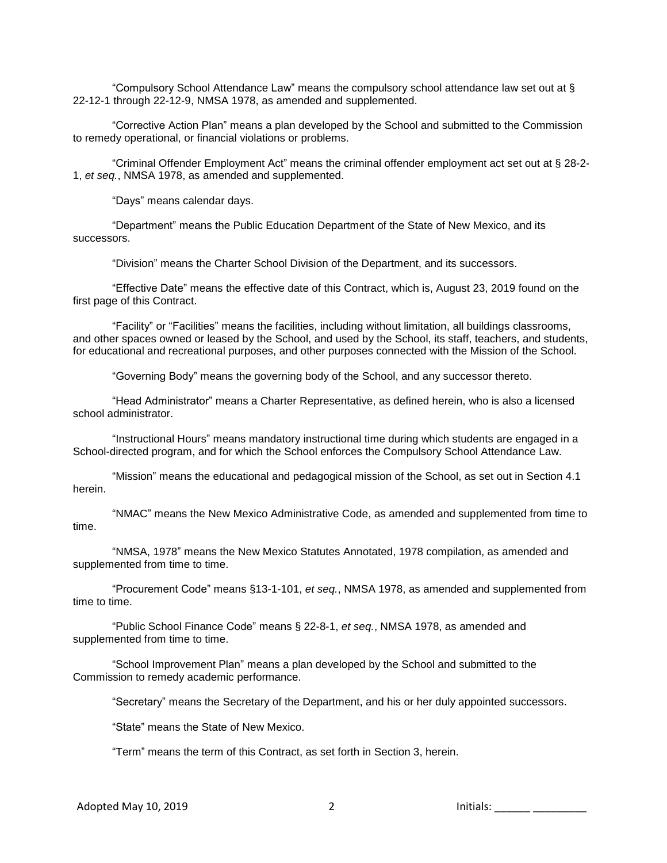"Compulsory School Attendance Law" means the compulsory school attendance law set out at § 22-12-1 through 22-12-9, NMSA 1978, as amended and supplemented.

"Corrective Action Plan" means a plan developed by the School and submitted to the Commission to remedy operational, or financial violations or problems.

"Criminal Offender Employment Act" means the criminal offender employment act set out at § 28-2- 1, *et seq.*, NMSA 1978, as amended and supplemented.

"Days" means calendar days.

"Department" means the Public Education Department of the State of New Mexico, and its successors.

"Division" means the Charter School Division of the Department, and its successors.

"Effective Date" means the effective date of this Contract, which is, August 23, 2019 found on the first page of this Contract.

"Facility" or "Facilities" means the facilities, including without limitation, all buildings classrooms, and other spaces owned or leased by the School, and used by the School, its staff, teachers, and students, for educational and recreational purposes, and other purposes connected with the Mission of the School.

"Governing Body" means the governing body of the School, and any successor thereto.

"Head Administrator" means a Charter Representative, as defined herein, who is also a licensed school administrator.

"Instructional Hours" means mandatory instructional time during which students are engaged in a School-directed program, and for which the School enforces the Compulsory School Attendance Law.

"Mission" means the educational and pedagogical mission of the School, as set out in Section 4.1 herein.

"NMAC" means the New Mexico Administrative Code, as amended and supplemented from time to time.

"NMSA, 1978" means the New Mexico Statutes Annotated, 1978 compilation, as amended and supplemented from time to time.

"Procurement Code" means §13-1-101, *et seq.*, NMSA 1978, as amended and supplemented from time to time.

"Public School Finance Code" means § 22-8-1, *et seq.*, NMSA 1978, as amended and supplemented from time to time.

"School Improvement Plan" means a plan developed by the School and submitted to the Commission to remedy academic performance.

"Secretary" means the Secretary of the Department, and his or her duly appointed successors.

"State" means the State of New Mexico.

"Term" means the term of this Contract, as set forth in Section 3, herein.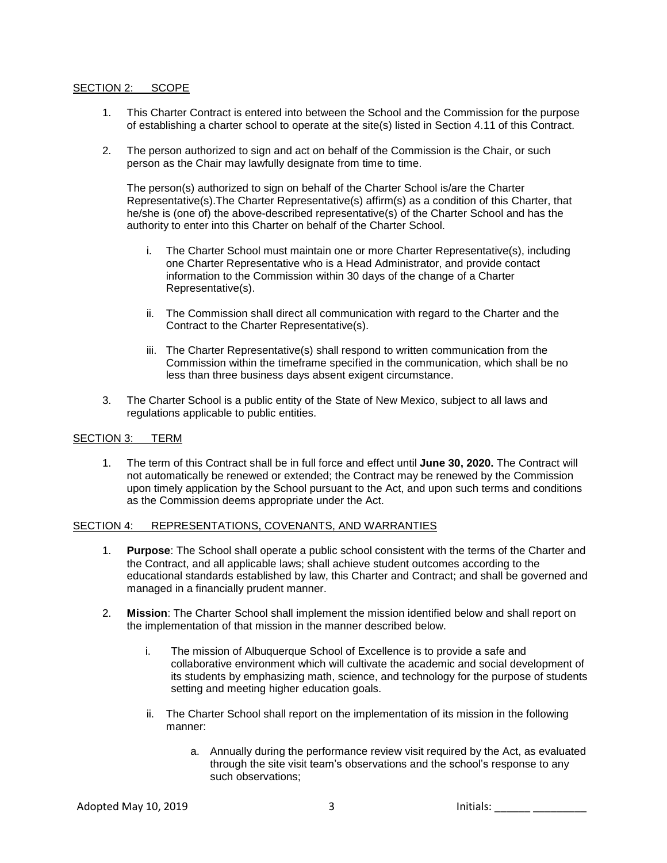## SECTION 2: SCOPE

- 1. This Charter Contract is entered into between the School and the Commission for the purpose of establishing a charter school to operate at the site(s) listed in Section 4.11 of this Contract.
- 2. The person authorized to sign and act on behalf of the Commission is the Chair, or such person as the Chair may lawfully designate from time to time.

The person(s) authorized to sign on behalf of the Charter School is/are the Charter Representative(s).The Charter Representative(s) affirm(s) as a condition of this Charter, that he/she is (one of) the above-described representative(s) of the Charter School and has the authority to enter into this Charter on behalf of the Charter School.

- i. The Charter School must maintain one or more Charter Representative(s), including one Charter Representative who is a Head Administrator, and provide contact information to the Commission within 30 days of the change of a Charter Representative(s).
- ii. The Commission shall direct all communication with regard to the Charter and the Contract to the Charter Representative(s).
- iii. The Charter Representative(s) shall respond to written communication from the Commission within the timeframe specified in the communication, which shall be no less than three business days absent exigent circumstance.
- 3. The Charter School is a public entity of the State of New Mexico, subject to all laws and regulations applicable to public entities.

## SECTION 3: TERM

1. The term of this Contract shall be in full force and effect until **June 30, 2020.** The Contract will not automatically be renewed or extended; the Contract may be renewed by the Commission upon timely application by the School pursuant to the Act, and upon such terms and conditions as the Commission deems appropriate under the Act.

#### SECTION 4: REPRESENTATIONS, COVENANTS, AND WARRANTIES

- 1. **Purpose**: The School shall operate a public school consistent with the terms of the Charter and the Contract, and all applicable laws; shall achieve student outcomes according to the educational standards established by law, this Charter and Contract; and shall be governed and managed in a financially prudent manner.
- 2. **Mission**: The Charter School shall implement the mission identified below and shall report on the implementation of that mission in the manner described below.
	- i. The mission of Albuquerque School of Excellence is to provide a safe and collaborative environment which will cultivate the academic and social development of its students by emphasizing math, science, and technology for the purpose of students setting and meeting higher education goals.
	- ii. The Charter School shall report on the implementation of its mission in the following manner:
		- a. Annually during the performance review visit required by the Act, as evaluated through the site visit team's observations and the school's response to any such observations;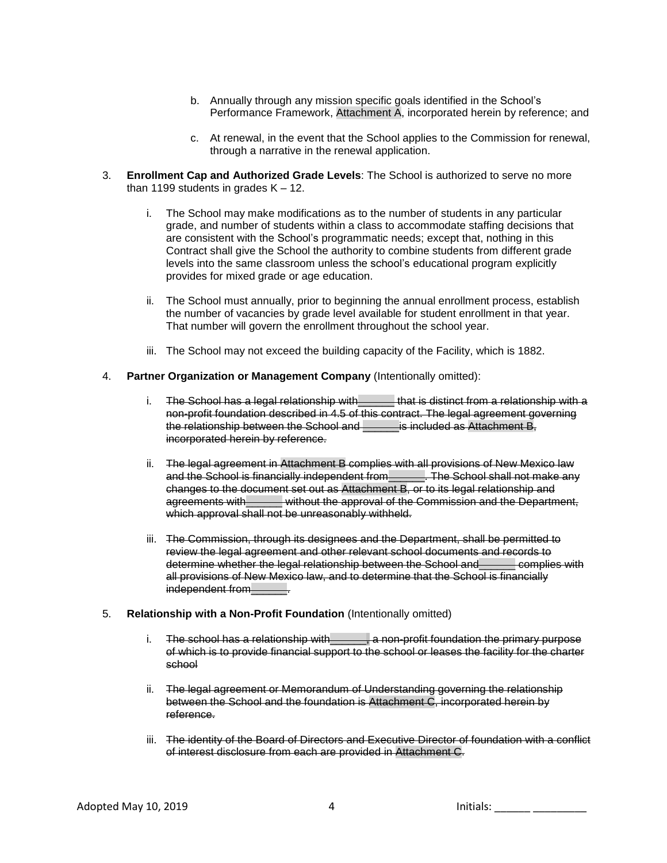- b. Annually through any mission specific goals identified in the School's Performance Framework, Attachment A, incorporated herein by reference; and
- c. At renewal, in the event that the School applies to the Commission for renewal, through a narrative in the renewal application.
- 3. **Enrollment Cap and Authorized Grade Levels**: The School is authorized to serve no more than 1199 students in grades  $K - 12$ .
	- i. The School may make modifications as to the number of students in any particular grade, and number of students within a class to accommodate staffing decisions that are consistent with the School's programmatic needs; except that, nothing in this Contract shall give the School the authority to combine students from different grade levels into the same classroom unless the school's educational program explicitly provides for mixed grade or age education.
	- ii. The School must annually, prior to beginning the annual enrollment process, establish the number of vacancies by grade level available for student enrollment in that year. That number will govern the enrollment throughout the school year.
	- iii. The School may not exceed the building capacity of the Facility, which is 1882.

#### 4. **Partner Organization or Management Company** (Intentionally omitted):

- i. The School has a legal relationship with \_\_\_\_\_\_ that is distinct from a relationship with a non-profit foundation described in 4.5 of this contract. The legal agreement governing the relationship between the School and \_\_\_\_\_\_\_ is included as Attachment B, incorporated herein by reference.
- ii. The legal agreement in Attachment B complies with all provisions of New Mexico law and the School is financially independent from\_\_\_\_\_\_. The School shall not make any changes to the document set out as Attachment B, or to its legal relationship and agreements with\_\_\_\_\_\_ without the approval of the Commission and the Department, which approval shall not be unreasonably withheld.
- iii. The Commission, through its designees and the Department, shall be permitted to review the legal agreement and other relevant school documents and records to determine whether the legal relationship between the School and\_\_\_\_\_\_ complies with all provisions of New Mexico law, and to determine that the School is financially independent from Fig.

#### 5. **Relationship with a Non-Profit Foundation** (Intentionally omitted)

- i. The school has a relationship with a state on-profit foundation the primary purpose of which is to provide financial support to the school or leases the facility for the charter school
- ii. The legal agreement or Memorandum of Understanding governing the relationship between the School and the foundation is Attachment C, incorporated herein by reference.
- iii. The identity of the Board of Directors and Executive Director of foundation with a conflict of interest disclosure from each are provided in Attachment C.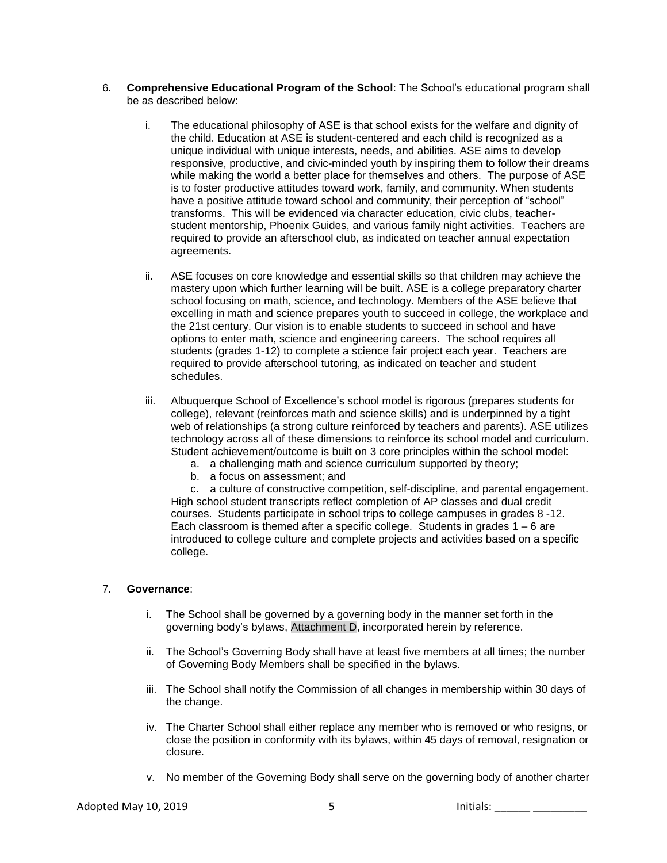- 6. **Comprehensive Educational Program of the School**: The School's educational program shall be as described below:
	- i. The educational philosophy of ASE is that school exists for the welfare and dignity of the child. Education at ASE is student-centered and each child is recognized as a unique individual with unique interests, needs, and abilities. ASE aims to develop responsive, productive, and civic-minded youth by inspiring them to follow their dreams while making the world a better place for themselves and others. The purpose of ASE is to foster productive attitudes toward work, family, and community. When students have a positive attitude toward school and community, their perception of "school" transforms. This will be evidenced via character education, civic clubs, teacherstudent mentorship, Phoenix Guides, and various family night activities. Teachers are required to provide an afterschool club, as indicated on teacher annual expectation agreements.
	- ii. ASE focuses on core knowledge and essential skills so that children may achieve the mastery upon which further learning will be built. ASE is a college preparatory charter school focusing on math, science, and technology. Members of the ASE believe that excelling in math and science prepares youth to succeed in college, the workplace and the 21st century. Our vision is to enable students to succeed in school and have options to enter math, science and engineering careers. The school requires all students (grades 1-12) to complete a science fair project each year. Teachers are required to provide afterschool tutoring, as indicated on teacher and student schedules.
	- iii. Albuquerque School of Excellence's school model is rigorous (prepares students for college), relevant (reinforces math and science skills) and is underpinned by a tight web of relationships (a strong culture reinforced by teachers and parents). ASE utilizes technology across all of these dimensions to reinforce its school model and curriculum. Student achievement/outcome is built on 3 core principles within the school model:
		- a. a challenging math and science curriculum supported by theory;
		- b. a focus on assessment; and

c. a culture of constructive competition, self-discipline, and parental engagement. High school student transcripts reflect completion of AP classes and dual credit courses. Students participate in school trips to college campuses in grades 8 -12. Each classroom is themed after a specific college. Students in grades 1 – 6 are introduced to college culture and complete projects and activities based on a specific college.

## 7. **Governance**:

- i. The School shall be governed by a governing body in the manner set forth in the governing body's bylaws, Attachment D, incorporated herein by reference.
- ii. The School's Governing Body shall have at least five members at all times; the number of Governing Body Members shall be specified in the bylaws.
- iii. The School shall notify the Commission of all changes in membership within 30 days of the change.
- iv. The Charter School shall either replace any member who is removed or who resigns, or close the position in conformity with its bylaws, within 45 days of removal, resignation or closure.
- v. No member of the Governing Body shall serve on the governing body of another charter